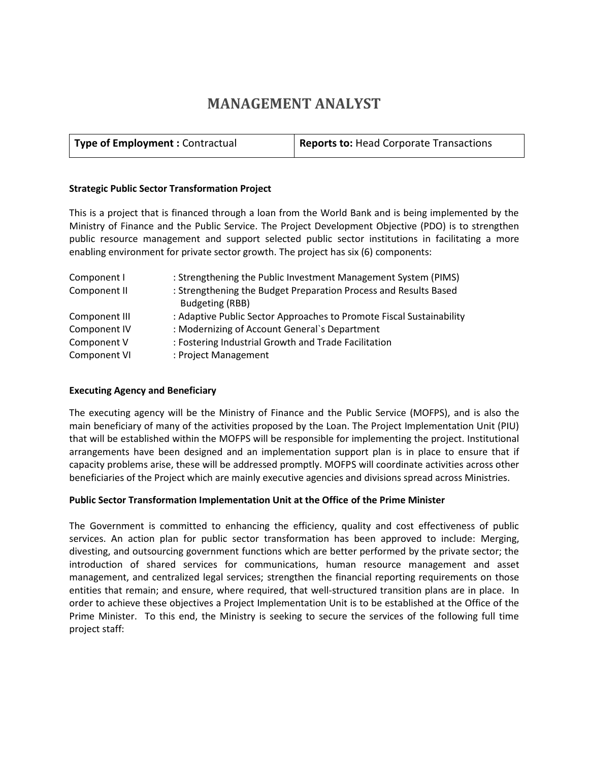# **MANAGEMENT ANALYST**

#### **Strategic Public Sector Transformation Project**

This is a project that is financed through a loan from the World Bank and is being implemented by the Ministry of Finance and the Public Service. The Project Development Objective (PDO) is to strengthen public resource management and support selected public sector institutions in facilitating a more enabling environment for private sector growth. The project has six (6) components:

| Component I   | : Strengthening the Public Investment Management System (PIMS)       |
|---------------|----------------------------------------------------------------------|
| Component II  | : Strengthening the Budget Preparation Process and Results Based     |
|               | Budgeting (RBB)                                                      |
| Component III | : Adaptive Public Sector Approaches to Promote Fiscal Sustainability |
| Component IV  | : Modernizing of Account General's Department                        |
| Component V   | : Fostering Industrial Growth and Trade Facilitation                 |
| Component VI  | : Project Management                                                 |

#### **Executing Agency and Beneficiary**

The executing agency will be the Ministry of Finance and the Public Service (MOFPS), and is also the main beneficiary of many of the activities proposed by the Loan. The Project Implementation Unit (PIU) that will be established within the MOFPS will be responsible for implementing the project. Institutional arrangements have been designed and an implementation support plan is in place to ensure that if capacity problems arise, these will be addressed promptly. MOFPS will coordinate activities across other beneficiaries of the Project which are mainly executive agencies and divisions spread across Ministries.

## **Public Sector Transformation Implementation Unit at the Office of the Prime Minister**

The Government is committed to enhancing the efficiency, quality and cost effectiveness of public services. An action plan for public sector transformation has been approved to include: Merging, divesting, and outsourcing government functions which are better performed by the private sector; the introduction of shared services for communications, human resource management and asset management, and centralized legal services; strengthen the financial reporting requirements on those entities that remain; and ensure, where required, that well-structured transition plans are in place. In order to achieve these objectives a Project Implementation Unit is to be established at the Office of the Prime Minister. To this end, the Ministry is seeking to secure the services of the following full time project staff: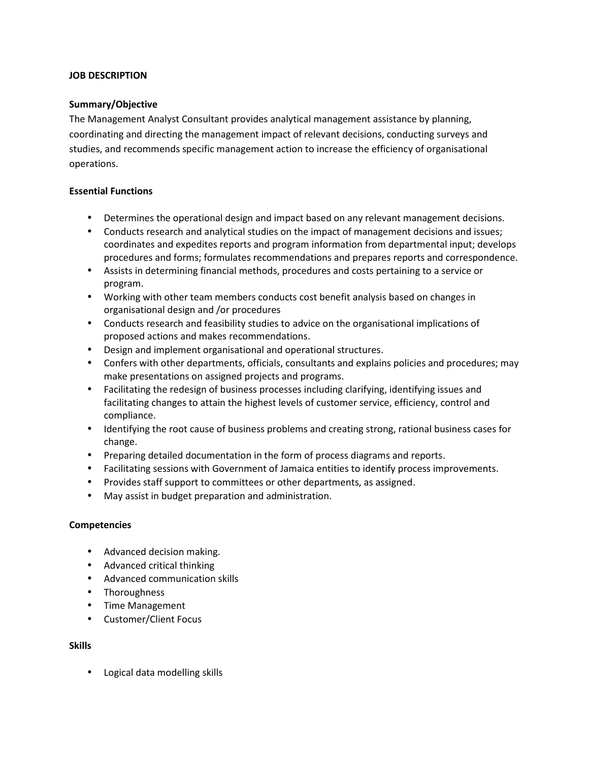## **JOB DESCRIPTION**

# **Summary/Objective**

The Management Analyst Consultant provides analytical management assistance by planning, coordinating and directing the management impact of relevant decisions, conducting surveys and studies, and recommends specific management action to increase the efficiency of organisational operations.

## **Essential Functions**

- Determines the operational design and impact based on any relevant management decisions.
- Conducts research and analytical studies on the impact of management decisions and issues; coordinates and expedites reports and program information from departmental input; develops procedures and forms; formulates recommendations and prepares reports and correspondence.
- Assists in determining financial methods, procedures and costs pertaining to a service or program.
- Working with other team members conducts cost benefit analysis based on changes in organisational design and /or procedures
- Conducts research and feasibility studies to advice on the organisational implications of proposed actions and makes recommendations.
- Design and implement organisational and operational structures.
- Confers with other departments, officials, consultants and explains policies and procedures; may make presentations on assigned projects and programs.
- Facilitating the redesign of business processes including clarifying, identifying issues and facilitating changes to attain the highest levels of customer service, efficiency, control and compliance.
- Identifying the root cause of business problems and creating strong, rational business cases for change.
- Preparing detailed documentation in the form of process diagrams and reports.
- Facilitating sessions with Government of Jamaica entities to identify process improvements.
- Provides staff support to committees or other departments, as assigned.
- May assist in budget preparation and administration.

## **Competencies**

- Advanced decision making.
- Advanced critical thinking
- Advanced communication skills
- Thoroughness
- Time Management
- Customer/Client Focus

## **Skills**

Logical data modelling skills